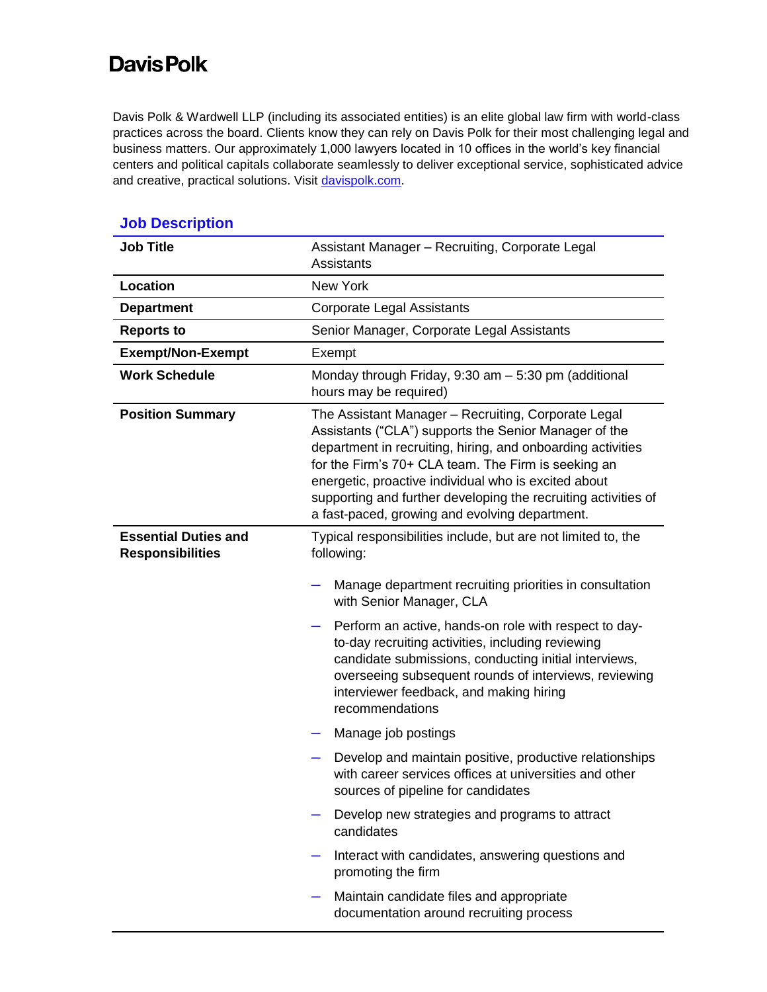## **DavisPolk**

Davis Polk & Wardwell LLP (including its associated entities) is an elite global law firm with world-class practices across the board. Clients know they can rely on Davis Polk for their most challenging legal and business matters. Our approximately 1,000 lawyers located in 10 offices in the world's key financial centers and political capitals collaborate seamlessly to deliver exceptional service, sophisticated advice and creative, practical solutions. Visit [davispolk.com.](https://www.davispolk.com/)

| <b>Job Title</b>                                       | Assistant Manager - Recruiting, Corporate Legal<br>Assistants                                                                                                                                                                                                                                                                                                                                                                                                                                                                                                                                                                                                                                                                                                                                 |  |  |
|--------------------------------------------------------|-----------------------------------------------------------------------------------------------------------------------------------------------------------------------------------------------------------------------------------------------------------------------------------------------------------------------------------------------------------------------------------------------------------------------------------------------------------------------------------------------------------------------------------------------------------------------------------------------------------------------------------------------------------------------------------------------------------------------------------------------------------------------------------------------|--|--|
| Location                                               | <b>New York</b>                                                                                                                                                                                                                                                                                                                                                                                                                                                                                                                                                                                                                                                                                                                                                                               |  |  |
| <b>Department</b>                                      | <b>Corporate Legal Assistants</b>                                                                                                                                                                                                                                                                                                                                                                                                                                                                                                                                                                                                                                                                                                                                                             |  |  |
| <b>Reports to</b>                                      | Senior Manager, Corporate Legal Assistants                                                                                                                                                                                                                                                                                                                                                                                                                                                                                                                                                                                                                                                                                                                                                    |  |  |
| <b>Exempt/Non-Exempt</b>                               | Exempt                                                                                                                                                                                                                                                                                                                                                                                                                                                                                                                                                                                                                                                                                                                                                                                        |  |  |
| <b>Work Schedule</b>                                   | Monday through Friday, 9:30 am - 5:30 pm (additional<br>hours may be required)                                                                                                                                                                                                                                                                                                                                                                                                                                                                                                                                                                                                                                                                                                                |  |  |
| <b>Position Summary</b>                                | The Assistant Manager - Recruiting, Corporate Legal<br>Assistants ("CLA") supports the Senior Manager of the<br>department in recruiting, hiring, and onboarding activities<br>for the Firm's 70+ CLA team. The Firm is seeking an<br>energetic, proactive individual who is excited about<br>supporting and further developing the recruiting activities of<br>a fast-paced, growing and evolving department.                                                                                                                                                                                                                                                                                                                                                                                |  |  |
| <b>Essential Duties and</b><br><b>Responsibilities</b> | Typical responsibilities include, but are not limited to, the<br>following:<br>Manage department recruiting priorities in consultation<br>with Senior Manager, CLA<br>Perform an active, hands-on role with respect to day-<br>to-day recruiting activities, including reviewing<br>candidate submissions, conducting initial interviews,<br>overseeing subsequent rounds of interviews, reviewing<br>interviewer feedback, and making hiring<br>recommendations<br>Manage job postings<br>Develop and maintain positive, productive relationships<br>with career services offices at universities and other<br>sources of pipeline for candidates<br>Develop new strategies and programs to attract<br>candidates<br>Interact with candidates, answering questions and<br>promoting the firm |  |  |
|                                                        | Maintain candidate files and appropriate<br>documentation around recruiting process                                                                                                                                                                                                                                                                                                                                                                                                                                                                                                                                                                                                                                                                                                           |  |  |

## **Job Description**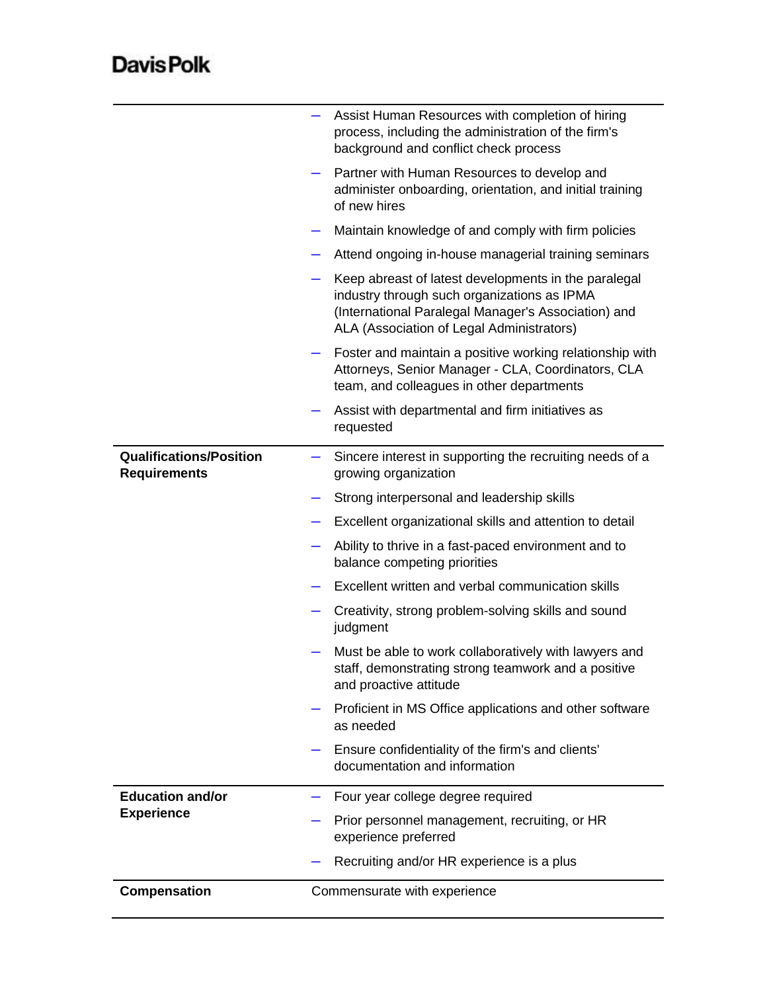## **DavisPolk**

|                                                       | Assist Human Resources with completion of hiring<br>process, including the administration of the firm's<br>background and conflict check process                                                        |
|-------------------------------------------------------|---------------------------------------------------------------------------------------------------------------------------------------------------------------------------------------------------------|
|                                                       | Partner with Human Resources to develop and<br>administer onboarding, orientation, and initial training<br>of new hires                                                                                 |
|                                                       | Maintain knowledge of and comply with firm policies                                                                                                                                                     |
|                                                       | Attend ongoing in-house managerial training seminars                                                                                                                                                    |
|                                                       | Keep abreast of latest developments in the paralegal<br>industry through such organizations as IPMA<br>(International Paralegal Manager's Association) and<br>ALA (Association of Legal Administrators) |
|                                                       | Foster and maintain a positive working relationship with<br>Attorneys, Senior Manager - CLA, Coordinators, CLA<br>team, and colleagues in other departments                                             |
|                                                       | Assist with departmental and firm initiatives as<br>requested                                                                                                                                           |
| <b>Qualifications/Position</b><br><b>Requirements</b> | Sincere interest in supporting the recruiting needs of a<br>growing organization                                                                                                                        |
|                                                       | Strong interpersonal and leadership skills                                                                                                                                                              |
|                                                       | Excellent organizational skills and attention to detail                                                                                                                                                 |
|                                                       | Ability to thrive in a fast-paced environment and to<br>balance competing priorities                                                                                                                    |
|                                                       | Excellent written and verbal communication skills                                                                                                                                                       |
|                                                       | Creativity, strong problem-solving skills and sound<br>judgment                                                                                                                                         |
|                                                       | Must be able to work collaboratively with lawyers and<br>staff, demonstrating strong teamwork and a positive<br>and proactive attitude                                                                  |
|                                                       | Proficient in MS Office applications and other software<br>as needed                                                                                                                                    |
|                                                       | Ensure confidentiality of the firm's and clients'<br>documentation and information                                                                                                                      |
| <b>Education and/or</b>                               | Four year college degree required                                                                                                                                                                       |
| <b>Experience</b>                                     | Prior personnel management, recruiting, or HR<br>experience preferred                                                                                                                                   |
|                                                       | Recruiting and/or HR experience is a plus                                                                                                                                                               |
| <b>Compensation</b>                                   | Commensurate with experience                                                                                                                                                                            |